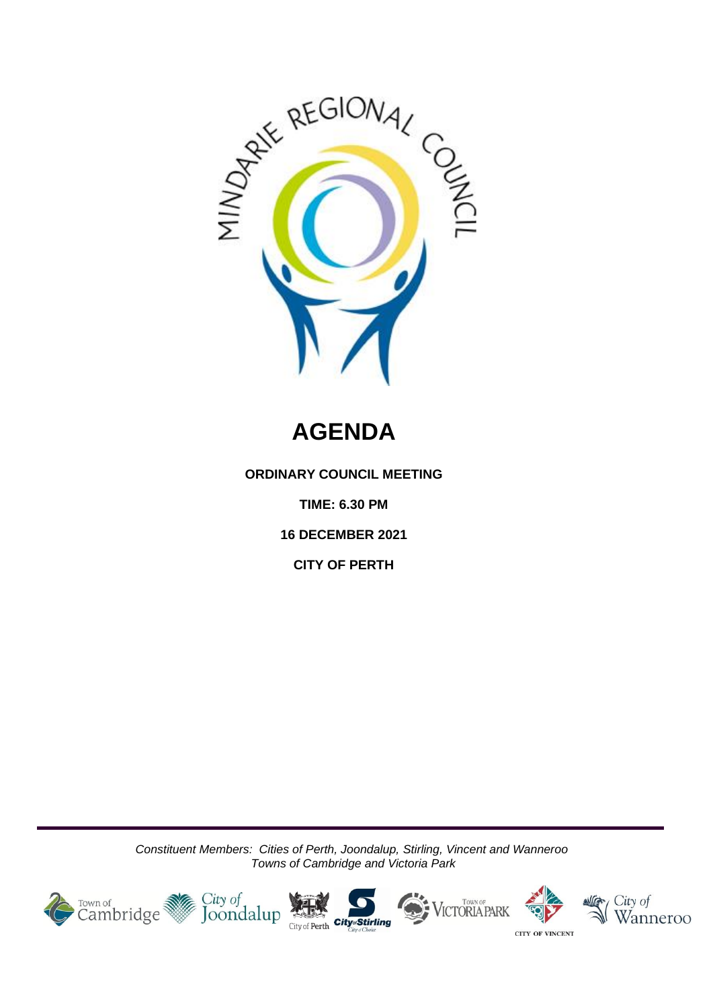

# **AGENDA**

**ORDINARY COUNCIL MEETING**

**TIME: 6.30 PM**

**16 DECEMBER 2021**

**CITY OF PERTH**

*Constituent Members: Cities of Perth, Joondalup, Stirling, Vincent and Wanneroo Towns of Cambridge and Victoria Park*

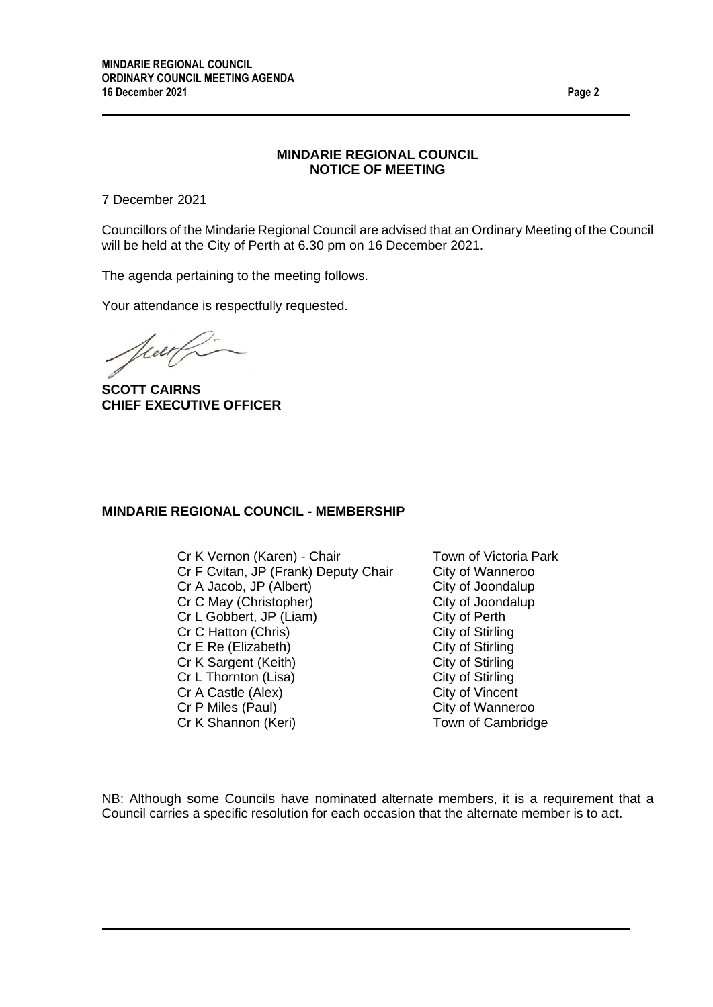#### **MINDARIE REGIONAL COUNCIL NOTICE OF MEETING**

7 December 2021

Councillors of the Mindarie Regional Council are advised that an Ordinary Meeting of the Council will be held at the City of Perth at 6.30 pm on 16 December 2021.

The agenda pertaining to the meeting follows.

Your attendance is respectfully requested.

Viert

**SCOTT CAIRNS CHIEF EXECUTIVE OFFICER**

#### **MINDARIE REGIONAL COUNCIL - MEMBERSHIP**

Cr K Vernon (Karen) - Chair Town of Victoria Park Cr F Cvitan, JP (Frank) Deputy Chair City of Wanneroo Cr A Jacob, JP (Albert) City of Joondalup Cr C May (Christopher) City of Joondalup Cr L Gobbert, JP (Liam) City of Perth Cr C Hatton (Chris) City of Stirling Cr E Re (Elizabeth) City of Stirling Cr K Sargent (Keith) City of Stirling Cr L Thornton (Lisa) City of Stirling Cr A Castle (Alex) City of Vincent Cr P Miles (Paul) Cr P Miles (Paul) Cr K Shannon (Keri) Town of Cambridge

NB: Although some Councils have nominated alternate members, it is a requirement that a Council carries a specific resolution for each occasion that the alternate member is to act.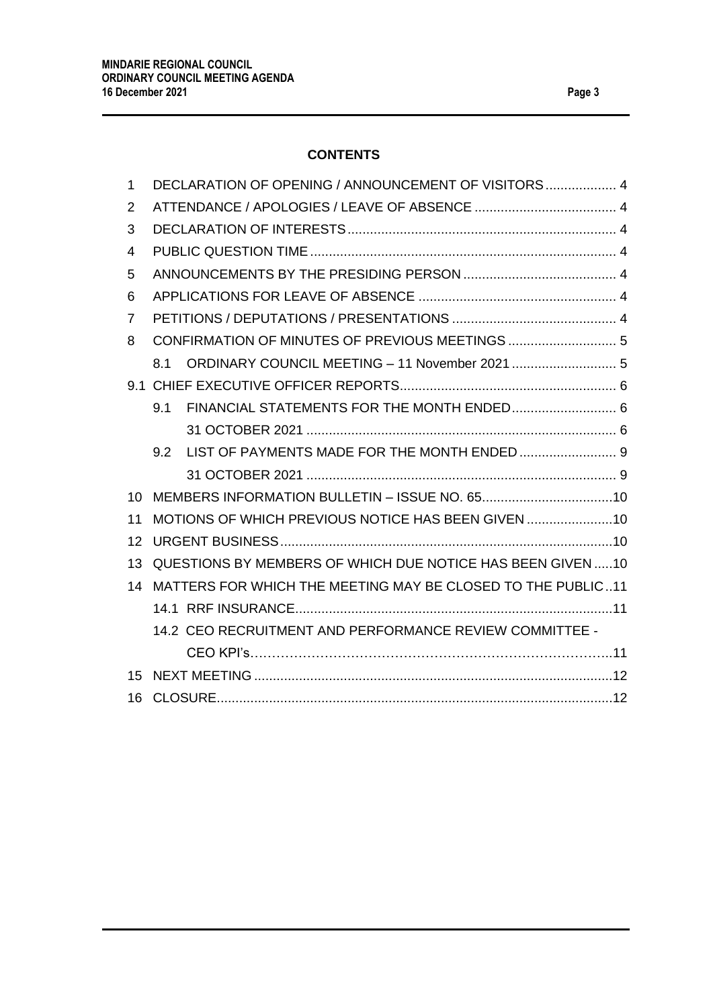# **CONTENTS**

| 1  | DECLARATION OF OPENING / ANNOUNCEMENT OF VISITORS  4        |  |  |
|----|-------------------------------------------------------------|--|--|
| 2  |                                                             |  |  |
| 3  |                                                             |  |  |
| 4  |                                                             |  |  |
| 5  |                                                             |  |  |
| 6  |                                                             |  |  |
| 7  |                                                             |  |  |
| 8  |                                                             |  |  |
|    | ORDINARY COUNCIL MEETING - 11 November 2021  5<br>8.1       |  |  |
|    |                                                             |  |  |
|    | 9.1                                                         |  |  |
|    |                                                             |  |  |
|    | 9.2                                                         |  |  |
|    |                                                             |  |  |
| 10 |                                                             |  |  |
| 11 | MOTIONS OF WHICH PREVIOUS NOTICE HAS BEEN GIVEN  10         |  |  |
| 12 |                                                             |  |  |
| 13 | QUESTIONS BY MEMBERS OF WHICH DUE NOTICE HAS BEEN GIVEN 10  |  |  |
| 14 | MATTERS FOR WHICH THE MEETING MAY BE CLOSED TO THE PUBLIC11 |  |  |
|    |                                                             |  |  |
|    | 14.2 CEO RECRUITMENT AND PERFORMANCE REVIEW COMMITTEE -     |  |  |
|    |                                                             |  |  |
| 15 |                                                             |  |  |
| 16 |                                                             |  |  |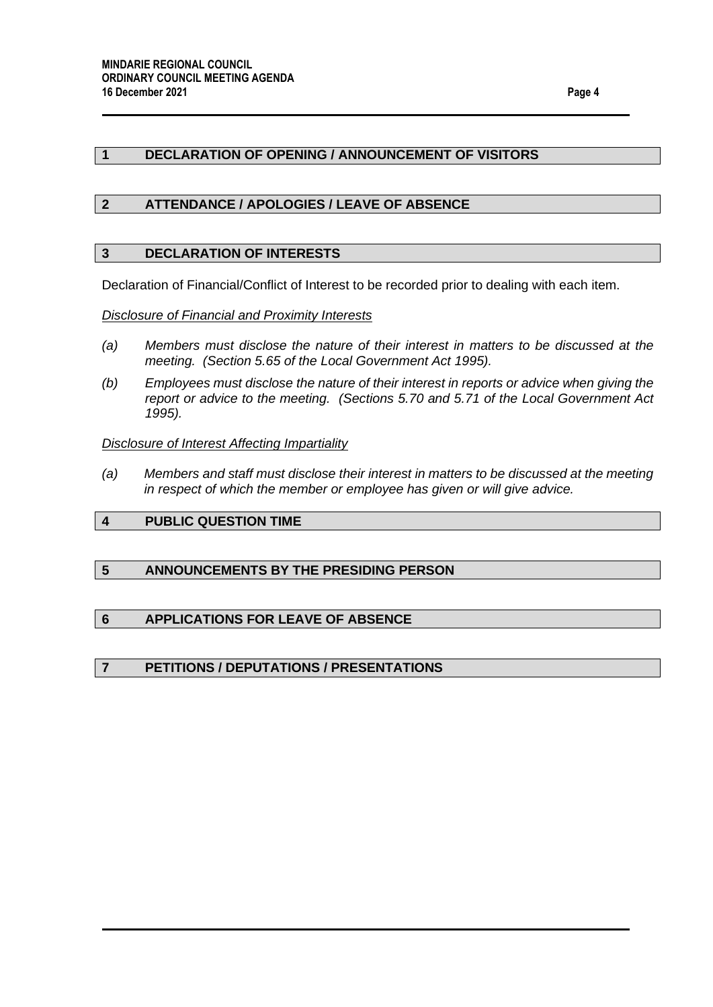## <span id="page-3-0"></span>**1 DECLARATION OF OPENING / ANNOUNCEMENT OF VISITORS**

#### <span id="page-3-1"></span>**2 ATTENDANCE / APOLOGIES / LEAVE OF ABSENCE**

#### <span id="page-3-2"></span>**3 DECLARATION OF INTERESTS**

Declaration of Financial/Conflict of Interest to be recorded prior to dealing with each item.

#### *Disclosure of Financial and Proximity Interests*

- *(a) Members must disclose the nature of their interest in matters to be discussed at the meeting. (Section 5.65 of the Local Government Act 1995).*
- *(b) Employees must disclose the nature of their interest in reports or advice when giving the report or advice to the meeting. (Sections 5.70 and 5.71 of the Local Government Act 1995).*

#### *Disclosure of Interest Affecting Impartiality*

*(a) Members and staff must disclose their interest in matters to be discussed at the meeting in respect of which the member or employee has given or will give advice.*

## <span id="page-3-3"></span>**4 PUBLIC QUESTION TIME**

#### <span id="page-3-4"></span>**5 ANNOUNCEMENTS BY THE PRESIDING PERSON**

## <span id="page-3-5"></span>**6 APPLICATIONS FOR LEAVE OF ABSENCE**

#### <span id="page-3-6"></span>**7 PETITIONS / DEPUTATIONS / PRESENTATIONS**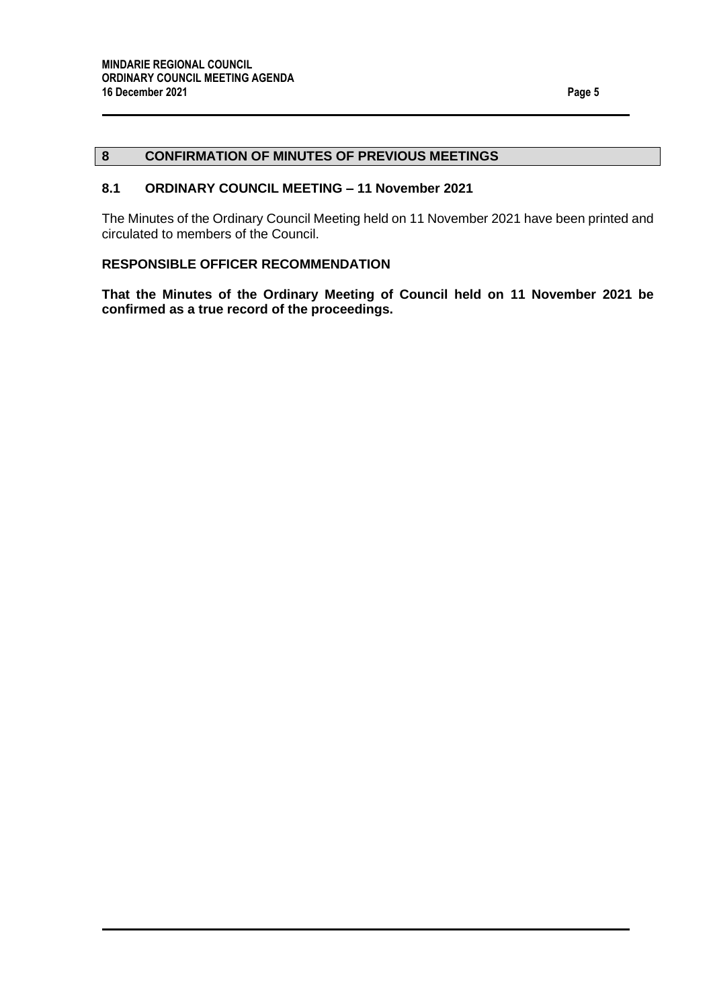## <span id="page-4-0"></span>**8 CONFIRMATION OF MINUTES OF PREVIOUS MEETINGS**

## <span id="page-4-1"></span>**8.1 ORDINARY COUNCIL MEETING – 11 November 2021**

The Minutes of the Ordinary Council Meeting held on 11 November 2021 have been printed and circulated to members of the Council.

## **RESPONSIBLE OFFICER RECOMMENDATION**

**That the Minutes of the Ordinary Meeting of Council held on 11 November 2021 be confirmed as a true record of the proceedings.**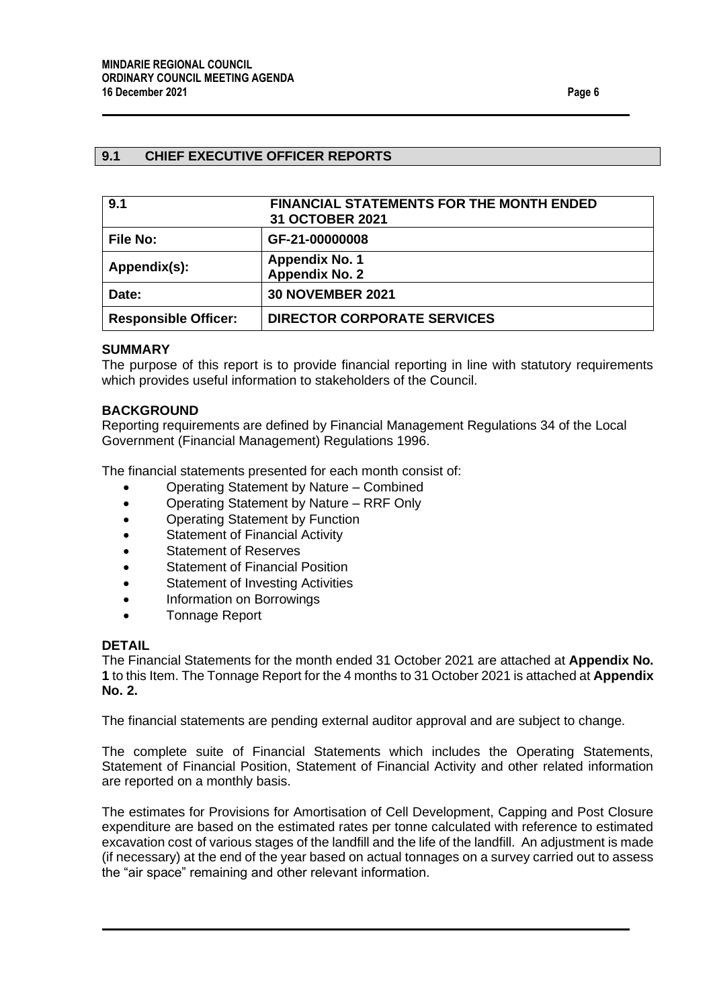## <span id="page-5-0"></span>**9.1 CHIEF EXECUTIVE OFFICER REPORTS**

<span id="page-5-2"></span><span id="page-5-1"></span>

| 9.1                         | <b>FINANCIAL STATEMENTS FOR THE MONTH ENDED</b><br>31 OCTOBER 2021 |
|-----------------------------|--------------------------------------------------------------------|
| File No:                    | GF-21-00000008                                                     |
| Appendix(s):                | <b>Appendix No. 1</b><br><b>Appendix No. 2</b>                     |
| Date:                       | <b>30 NOVEMBER 2021</b>                                            |
| <b>Responsible Officer:</b> | <b>DIRECTOR CORPORATE SERVICES</b>                                 |

#### **SUMMARY**

The purpose of this report is to provide financial reporting in line with statutory requirements which provides useful information to stakeholders of the Council.

#### **BACKGROUND**

Reporting requirements are defined by Financial Management Regulations 34 of the Local Government (Financial Management) Regulations 1996.

The financial statements presented for each month consist of:

- Operating Statement by Nature Combined
- Operating Statement by Nature RRF Only
- Operating Statement by Function
- Statement of Financial Activity
- Statement of Reserves
- Statement of Financial Position
- Statement of Investing Activities
- Information on Borrowings
- Tonnage Report

#### **DETAIL**

The Financial Statements for the month ended 31 October 2021 are attached at **Appendix No. 1** to this Item. The Tonnage Report for the 4 months to 31 October 2021 is attached at **Appendix No. 2.**

The financial statements are pending external auditor approval and are subject to change.

The complete suite of Financial Statements which includes the Operating Statements, Statement of Financial Position, Statement of Financial Activity and other related information are reported on a monthly basis.

The estimates for Provisions for Amortisation of Cell Development, Capping and Post Closure expenditure are based on the estimated rates per tonne calculated with reference to estimated excavation cost of various stages of the landfill and the life of the landfill. An adjustment is made (if necessary) at the end of the year based on actual tonnages on a survey carried out to assess the "air space" remaining and other relevant information.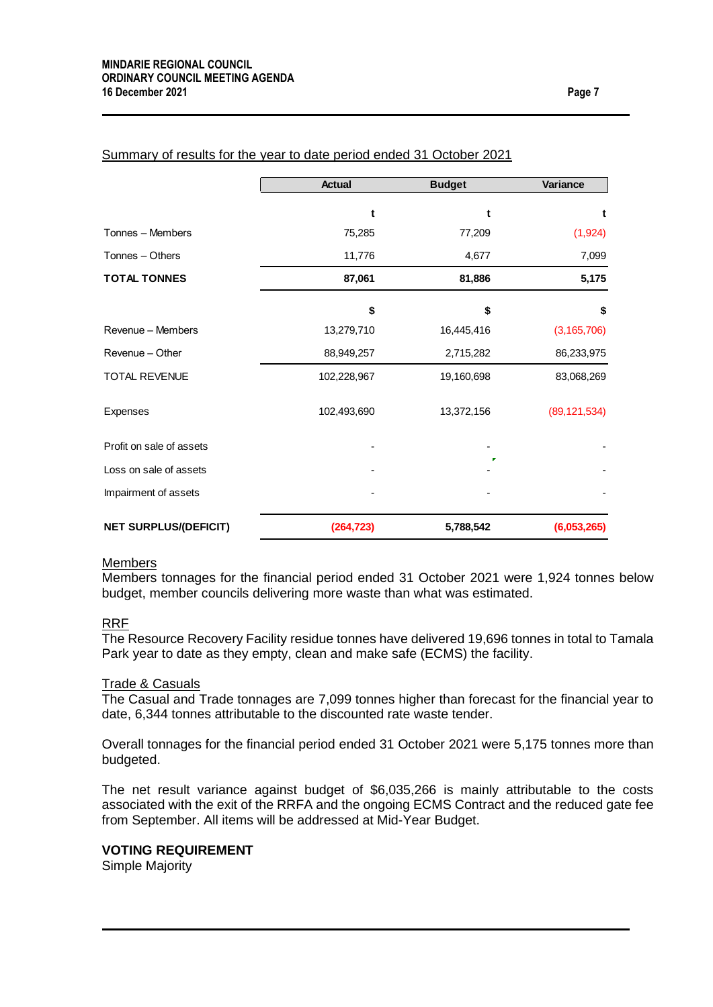|                              | <b>Actual</b> | <b>Budget</b> | Variance       |
|------------------------------|---------------|---------------|----------------|
|                              | t             | t             | t              |
| Tonnes - Members             | 75,285        | 77,209        | (1,924)        |
| Tonnes - Others              | 11,776        | 4,677         | 7,099          |
| <b>TOTAL TONNES</b>          | 87,061        | 81,886        | 5,175          |
|                              | \$            | \$            | \$             |
| Revenue – Members            | 13,279,710    | 16,445,416    | (3, 165, 706)  |
| Revenue - Other              | 88,949,257    | 2,715,282     | 86,233,975     |
| <b>TOTAL REVENUE</b>         | 102,228,967   | 19,160,698    | 83,068,269     |
| Expenses                     | 102,493,690   | 13,372,156    | (89, 121, 534) |
| Profit on sale of assets     |               |               |                |
| Loss on sale of assets       |               |               |                |
| Impairment of assets         |               |               |                |
| <b>NET SURPLUS/(DEFICIT)</b> | (264, 723)    | 5,788,542     | (6,053,265)    |

#### Summary of results for the year to date period ended 31 October 2021

#### **Members**

Members tonnages for the financial period ended 31 October 2021 were 1,924 tonnes below budget, member councils delivering more waste than what was estimated.

#### RRF

The Resource Recovery Facility residue tonnes have delivered 19,696 tonnes in total to Tamala Park year to date as they empty, clean and make safe (ECMS) the facility.

#### Trade & Casuals

The Casual and Trade tonnages are 7,099 tonnes higher than forecast for the financial year to date, 6,344 tonnes attributable to the discounted rate waste tender.

Overall tonnages for the financial period ended 31 October 2021 were 5,175 tonnes more than budgeted.

The net result variance against budget of \$6,035,266 is mainly attributable to the costs associated with the exit of the RRFA and the ongoing ECMS Contract and the reduced gate fee from September. All items will be addressed at Mid-Year Budget.

#### **VOTING REQUIREMENT**

Simple Majority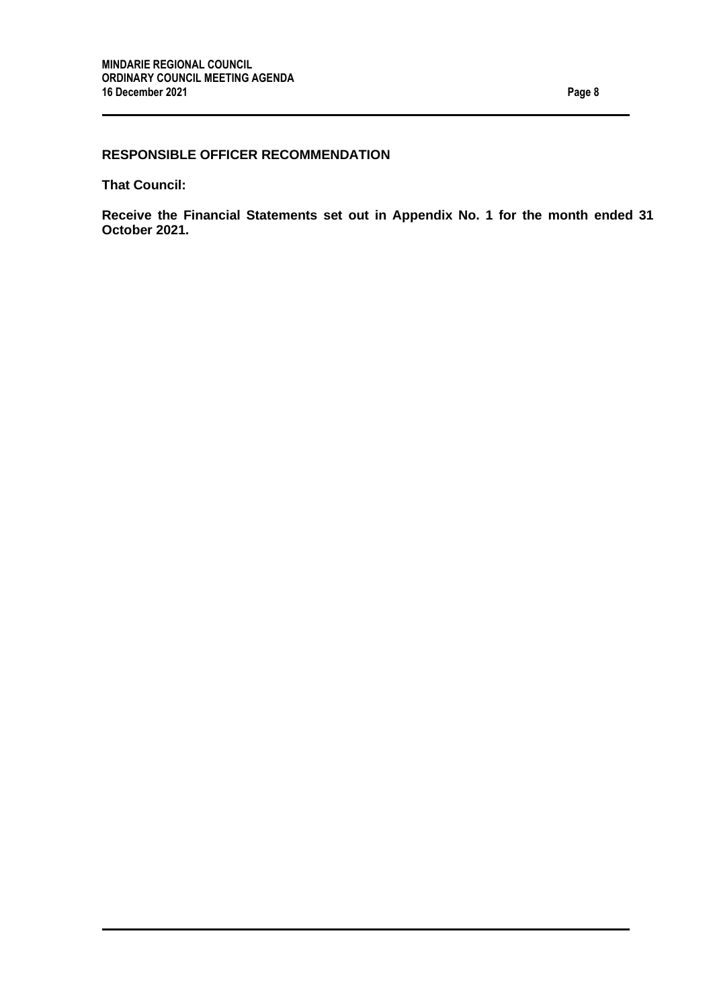## **RESPONSIBLE OFFICER RECOMMENDATION**

**That Council:**

**Receive the Financial Statements set out in Appendix No. 1 for the month ended 31 October 2021.**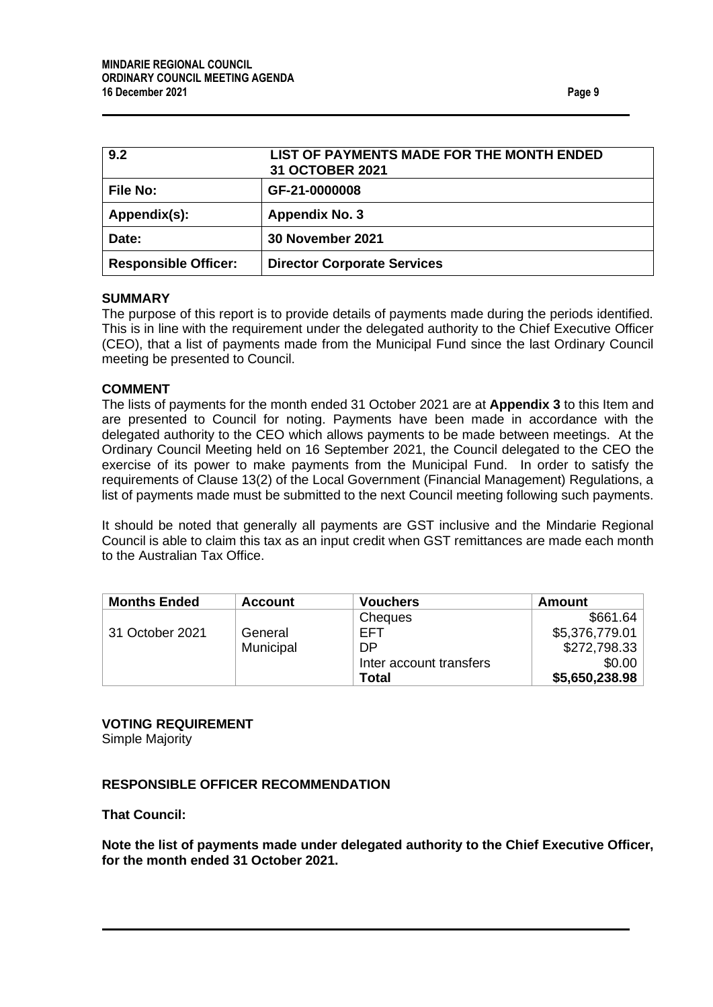<span id="page-8-1"></span><span id="page-8-0"></span>

| 9.2                         | LIST OF PAYMENTS MADE FOR THE MONTH ENDED<br>31 OCTOBER 2021 |
|-----------------------------|--------------------------------------------------------------|
| <b>File No:</b>             | GF-21-0000008                                                |
| Appendix(s):                | <b>Appendix No. 3</b>                                        |
| Date:                       | 30 November 2021                                             |
| <b>Responsible Officer:</b> | <b>Director Corporate Services</b>                           |

#### **SUMMARY**

The purpose of this report is to provide details of payments made during the periods identified. This is in line with the requirement under the delegated authority to the Chief Executive Officer (CEO), that a list of payments made from the Municipal Fund since the last Ordinary Council meeting be presented to Council.

## **COMMENT**

The lists of payments for the month ended 31 October 2021 are at **Appendix 3** to this Item and are presented to Council for noting. Payments have been made in accordance with the delegated authority to the CEO which allows payments to be made between meetings. At the Ordinary Council Meeting held on 16 September 2021, the Council delegated to the CEO the exercise of its power to make payments from the Municipal Fund. In order to satisfy the requirements of Clause 13(2) of the Local Government (Financial Management) Regulations, a list of payments made must be submitted to the next Council meeting following such payments.

It should be noted that generally all payments are GST inclusive and the Mindarie Regional Council is able to claim this tax as an input credit when GST remittances are made each month to the Australian Tax Office.

| <b>Months Ended</b> | <b>Account</b> | <b>Vouchers</b>         | Amount         |
|---------------------|----------------|-------------------------|----------------|
|                     |                | Cheques                 | \$661.64       |
| 31 October 2021     | General        | EFT                     | \$5,376,779.01 |
|                     | Municipal      | DP                      | \$272,798.33   |
|                     |                | Inter account transfers | \$0.00         |
|                     |                | Total                   | \$5,650,238.98 |

## **VOTING REQUIREMENT**

Simple Majority

## **RESPONSIBLE OFFICER RECOMMENDATION**

**That Council:**

**Note the list of payments made under delegated authority to the Chief Executive Officer, for the month ended 31 October 2021.**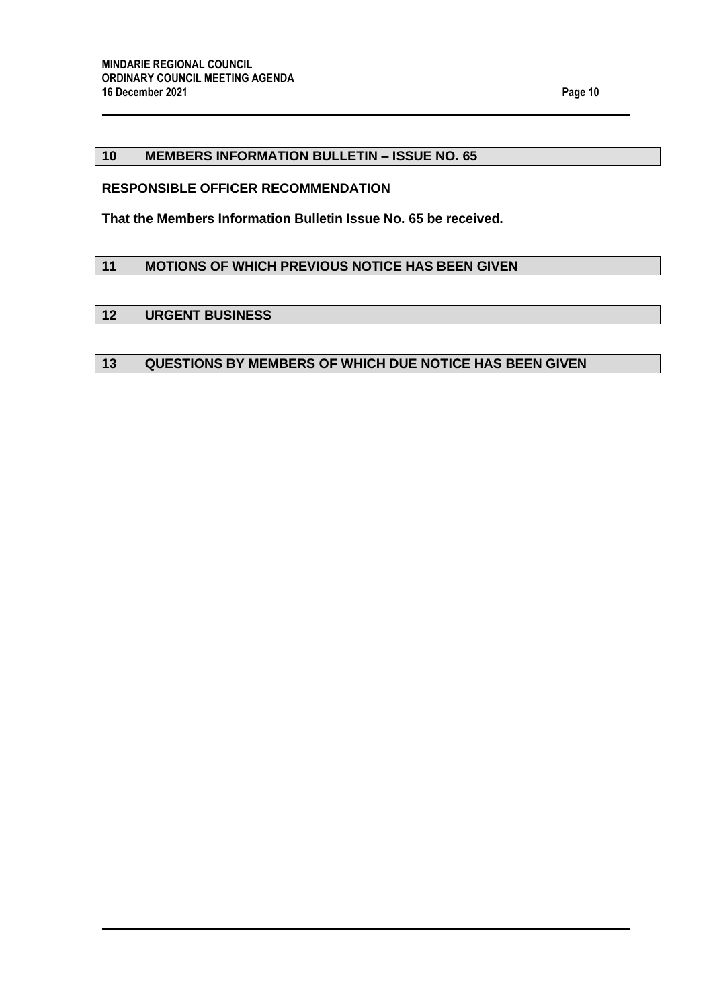## <span id="page-9-0"></span>**10 MEMBERS INFORMATION BULLETIN – ISSUE NO. 65**

## **RESPONSIBLE OFFICER RECOMMENDATION**

**That the Members Information Bulletin Issue No. 65 be received.**

## <span id="page-9-1"></span>**11 MOTIONS OF WHICH PREVIOUS NOTICE HAS BEEN GIVEN**

#### <span id="page-9-2"></span>**12 URGENT BUSINESS**

## <span id="page-9-3"></span>**13 QUESTIONS BY MEMBERS OF WHICH DUE NOTICE HAS BEEN GIVEN**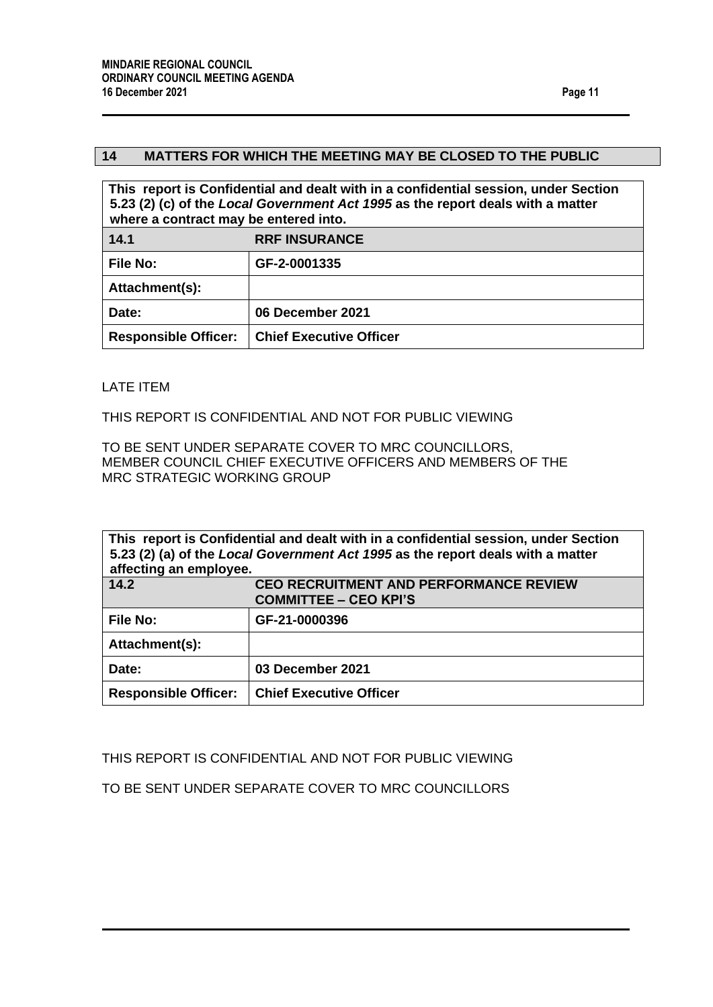#### <span id="page-10-0"></span>**14 MATTERS FOR WHICH THE MEETING MAY BE CLOSED TO THE PUBLIC**

<span id="page-10-1"></span>

| This report is Confidential and dealt with in a confidential session, under Section<br>5.23 (2) (c) of the Local Government Act 1995 as the report deals with a matter<br>where a contract may be entered into. |                                |  |
|-----------------------------------------------------------------------------------------------------------------------------------------------------------------------------------------------------------------|--------------------------------|--|
| 14.1                                                                                                                                                                                                            | <b>RRF INSURANCE</b>           |  |
| <b>File No:</b>                                                                                                                                                                                                 | GF-2-0001335                   |  |
| Attachment(s):                                                                                                                                                                                                  |                                |  |
| Date:                                                                                                                                                                                                           | 06 December 2021               |  |
| <b>Responsible Officer:</b>                                                                                                                                                                                     | <b>Chief Executive Officer</b> |  |

## LATE ITEM

THIS REPORT IS CONFIDENTIAL AND NOT FOR PUBLIC VIEWING

TO BE SENT UNDER SEPARATE COVER TO MRC COUNCILLORS, MEMBER COUNCIL CHIEF EXECUTIVE OFFICERS AND MEMBERS OF THE MRC STRATEGIC WORKING GROUP

<span id="page-10-2"></span>

| This report is Confidential and dealt with in a confidential session, under Section<br>5.23 (2) (a) of the Local Government Act 1995 as the report deals with a matter<br>affecting an employee. |                                                                               |  |
|--------------------------------------------------------------------------------------------------------------------------------------------------------------------------------------------------|-------------------------------------------------------------------------------|--|
| 14.2                                                                                                                                                                                             | <b>CEO RECRUITMENT AND PERFORMANCE REVIEW</b><br><b>COMMITTEE - CEO KPI'S</b> |  |
| <b>File No:</b>                                                                                                                                                                                  | GF-21-0000396                                                                 |  |
| Attachment(s):                                                                                                                                                                                   |                                                                               |  |
| Date:                                                                                                                                                                                            | 03 December 2021                                                              |  |
| <b>Responsible Officer:</b>                                                                                                                                                                      | <b>Chief Executive Officer</b>                                                |  |

## THIS REPORT IS CONFIDENTIAL AND NOT FOR PUBLIC VIEWING

TO BE SENT UNDER SEPARATE COVER TO MRC COUNCILLORS